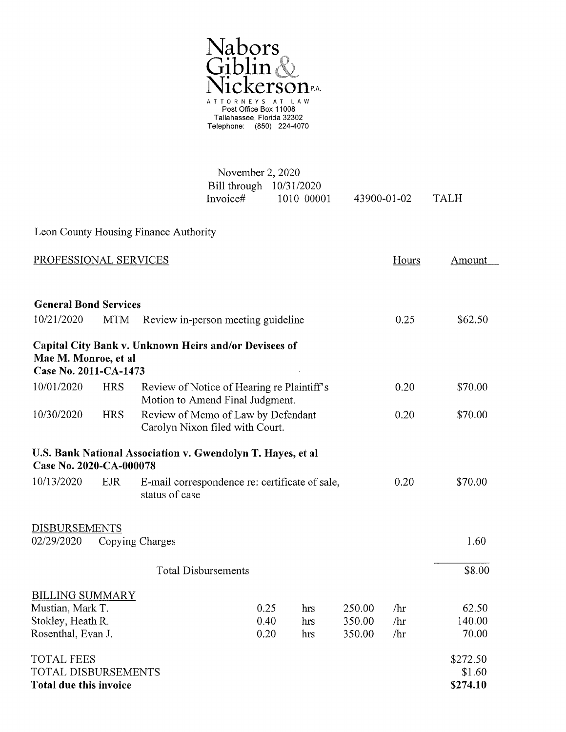

| November 2, 2020          |            |             |             |
|---------------------------|------------|-------------|-------------|
| Bill through $10/31/2020$ |            |             |             |
| Invoice#                  | 1010 00001 | 43900-01-02 | <b>TALH</b> |

Leon County Housing Finance Authority

| PROFESSIONAL SERVICES                                           |                                                                                                                                                                          |                                                                               |              |            |                  | Hours      | Amount             |
|-----------------------------------------------------------------|--------------------------------------------------------------------------------------------------------------------------------------------------------------------------|-------------------------------------------------------------------------------|--------------|------------|------------------|------------|--------------------|
|                                                                 |                                                                                                                                                                          |                                                                               |              |            |                  |            |                    |
| <b>General Bond Services</b>                                    |                                                                                                                                                                          |                                                                               |              |            |                  |            |                    |
| 10/21/2020                                                      | <b>MTM</b>                                                                                                                                                               | Review in-person meeting guideline                                            | 0.25         | \$62.50    |                  |            |                    |
|                                                                 |                                                                                                                                                                          | Capital City Bank v. Unknown Heirs and/or Devisees of                         |              |            |                  |            |                    |
| Mae M. Monroe, et al                                            |                                                                                                                                                                          |                                                                               |              |            |                  |            |                    |
| Case No. 2011-CA-1473                                           |                                                                                                                                                                          |                                                                               |              |            |                  |            |                    |
| 10/01/2020                                                      | <b>HRS</b>                                                                                                                                                               | Review of Notice of Hearing re Plaintiff's<br>Motion to Amend Final Judgment. | 0.20         | \$70.00    |                  |            |                    |
| 10/30/2020                                                      | <b>HRS</b>                                                                                                                                                               | Review of Memo of Law by Defendant<br>Carolyn Nixon filed with Court.         | 0.20         | \$70.00    |                  |            |                    |
| 10/13/2020                                                      | U.S. Bank National Association v. Gwendolyn T. Hayes, et al<br>Case No. 2020-CA-000078<br><b>EJR</b><br>E-mail correspondence re: certificate of sale,<br>status of case |                                                                               |              |            |                  |            | \$70.00            |
| <b>DISBURSEMENTS</b>                                            |                                                                                                                                                                          |                                                                               |              |            |                  |            |                    |
| 02/29/2020<br>Copying Charges                                   |                                                                                                                                                                          |                                                                               |              |            |                  |            | 1.60               |
|                                                                 |                                                                                                                                                                          | <b>Total Disbursements</b>                                                    |              |            |                  |            | \$8.00             |
| <b>BILLING SUMMARY</b><br>Mustian, Mark T.<br>Stokley, Heath R. |                                                                                                                                                                          |                                                                               | 0.25<br>0.40 | hrs<br>hrs | 250.00<br>350.00 | /hr<br>/hr | 62.50<br>140.00    |
| Rosenthal, Evan J.                                              |                                                                                                                                                                          |                                                                               | 0.20         | hrs        | 350.00           | /hr        | 70.00              |
| <b>TOTAL FEES</b>                                               |                                                                                                                                                                          |                                                                               |              |            |                  |            | \$272.50<br>\$1.60 |
| <b>TOTAL DISBURSEMENTS</b><br><b>Total due this invoice</b>     |                                                                                                                                                                          |                                                                               |              |            |                  | \$274.10   |                    |